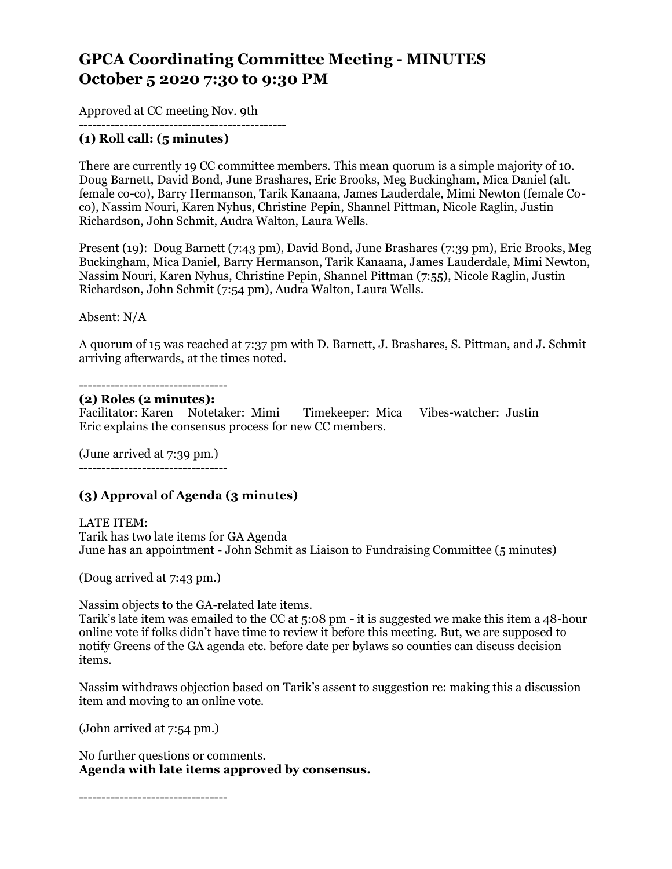# **GPCA Coordinating Committee Meeting - MINUTES October 5 2020 7:30 to 9:30 PM**

Approved at CC meeting Nov. 9th

#### ---------------------------------------------- **(1) Roll call: (5 minutes)**

There are currently 19 CC committee members. This mean quorum is a simple majority of 10. Doug Barnett, David Bond, June Brashares, Eric Brooks, Meg Buckingham, Mica Daniel (alt. female co-co), Barry Hermanson, Tarik Kanaana, James Lauderdale, Mimi Newton (female Coco), Nassim Nouri, Karen Nyhus, Christine Pepin, Shannel Pittman, Nicole Raglin, Justin Richardson, John Schmit, Audra Walton, Laura Wells.

Present (19): Doug Barnett (7:43 pm), David Bond, June Brashares (7:39 pm), Eric Brooks, Meg Buckingham, Mica Daniel, Barry Hermanson, Tarik Kanaana, James Lauderdale, Mimi Newton, Nassim Nouri, Karen Nyhus, Christine Pepin, Shannel Pittman (7:55), Nicole Raglin, Justin Richardson, John Schmit (7:54 pm), Audra Walton, Laura Wells.

Absent: N/A

A quorum of 15 was reached at 7:37 pm with D. Barnett, J. Brashares, S. Pittman, and J. Schmit arriving afterwards, at the times noted.

---------------------------------

#### **(2) Roles (2 minutes):**

Facilitator: Karen Notetaker: Mimi Timekeeper: Mica Vibes-watcher: Justin Eric explains the consensus process for new CC members.

(June arrived at 7:39 pm.) ---------------------------------

# **(3) Approval of Agenda (3 minutes)**

LATE ITEM: Tarik has two late items for GA Agenda June has an appointment - John Schmit as Liaison to Fundraising Committee (5 minutes)

(Doug arrived at 7:43 pm.)

Nassim objects to the GA-related late items.

Tarik's late item was emailed to the CC at 5:08 pm - it is suggested we make this item a 48-hour online vote if folks didn't have time to review it before this meeting. But, we are supposed to notify Greens of the GA agenda etc. before date per bylaws so counties can discuss decision items.

Nassim withdraws objection based on Tarik's assent to suggestion re: making this a discussion item and moving to an online vote.

(John arrived at 7:54 pm.)

No further questions or comments. **Agenda with late items approved by consensus.**

---------------------------------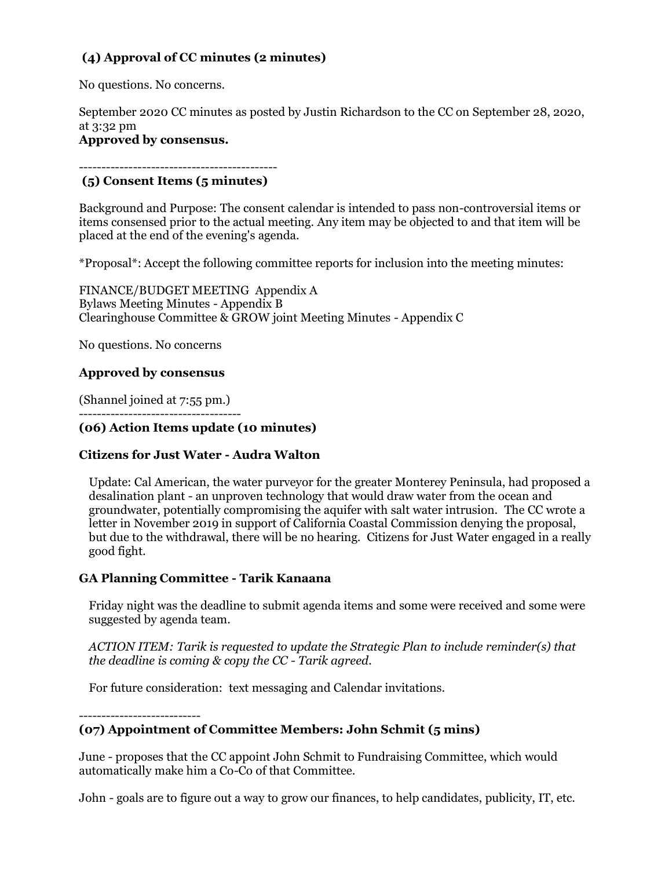# **(4) Approval of CC minutes (2 minutes)**

No questions. No concerns.

September 2020 CC minutes as posted by Justin Richardson to the CC on September 28, 2020, at 3:32 pm

## **Approved by consensus.**

#### -------------------------------------------- **(5) Consent Items (5 minutes)**

Background and Purpose: The consent calendar is intended to pass non-controversial items or items consensed prior to the actual meeting. Any item may be objected to and that item will be placed at the end of the evening's agenda.

\*Proposal\*: Accept the following committee reports for inclusion into the meeting minutes:

FINANCE/BUDGET MEETING Appendix A Bylaws Meeting Minutes - Appendix B Clearinghouse Committee & GROW joint Meeting Minutes - Appendix C

No questions. No concerns

# **Approved by consensus**

(Shannel joined at 7:55 pm.) ------------------------------------

# **(06) Action Items update (10 minutes)**

# **Citizens for Just Water - Audra Walton**

Update: Cal American, the water purveyor for the greater Monterey Peninsula, had proposed a desalination plant - an unproven technology that would draw water from the ocean and groundwater, potentially compromising the aquifer with salt water intrusion. The CC wrote a letter in November 2019 in support of California Coastal Commission denying the proposal, but due to the withdrawal, there will be no hearing. Citizens for Just Water engaged in a really good fight.

# **GA Planning Committee - Tarik Kanaana**

Friday night was the deadline to submit agenda items and some were received and some were suggested by agenda team.

*ACTION ITEM: Tarik is requested to update the Strategic Plan to include reminder(s) that the deadline is coming & copy the CC - Tarik agreed.*

For future consideration: text messaging and Calendar invitations.

---------------------------

# **(07) Appointment of Committee Members: John Schmit (5 mins)**

June - proposes that the CC appoint John Schmit to Fundraising Committee, which would automatically make him a Co-Co of that Committee.

John - goals are to figure out a way to grow our finances, to help candidates, publicity, IT, etc.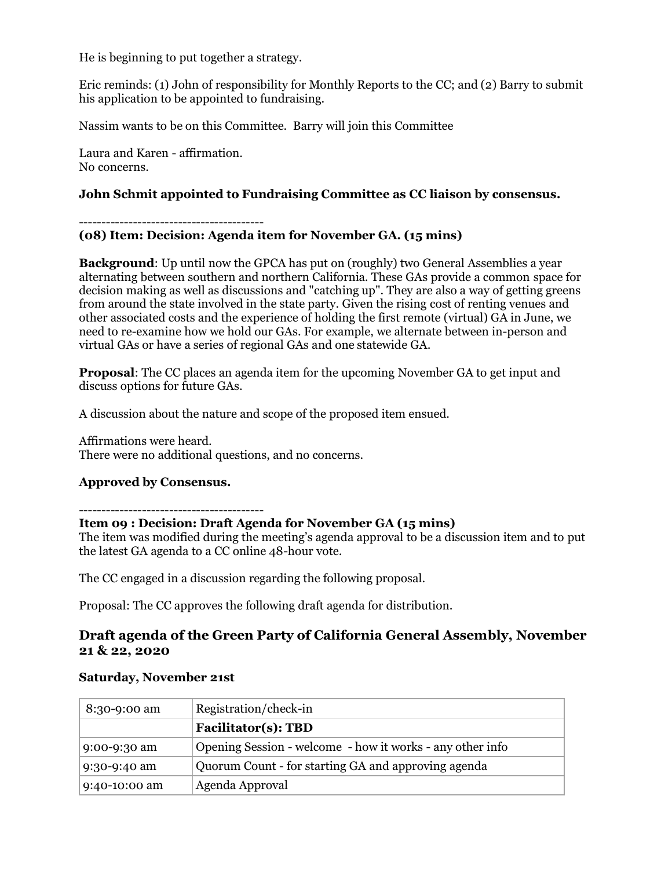He is beginning to put together a strategy.

Eric reminds: (1) John of responsibility for Monthly Reports to the CC; and (2) Barry to submit his application to be appointed to fundraising.

Nassim wants to be on this Committee. Barry will join this Committee

Laura and Karen - affirmation. No concerns.

### **John Schmit appointed to Fundraising Committee as CC liaison by consensus.**

-----------------------------------------

#### **(08) Item: Decision: Agenda item for November GA. (15 mins)**

**Background**: Up until now the GPCA has put on (roughly) two General Assemblies a year alternating between southern and northern California. These GAs provide a common space for decision making as well as discussions and "catching up". They are also a way of getting greens from around the state involved in the state party. Given the rising cost of renting venues and other associated costs and the experience of holding the first remote (virtual) GA in June, we need to re-examine how we hold our GAs. For example, we alternate between in-person and virtual GAs or have a series of regional GAs and one statewide GA.

**Proposal**: The CC places an agenda item for the upcoming November GA to get input and discuss options for future GAs.

A discussion about the nature and scope of the proposed item ensued.

Affirmations were heard. There were no additional questions, and no concerns.

## **Approved by Consensus.**

-----------------------------------------

#### **Item 09 : Decision: Draft Agenda for November GA (15 mins)**

The item was modified during the meeting's agenda approval to be a discussion item and to put the latest GA agenda to a CC online 48-hour vote.

The CC engaged in a discussion regarding the following proposal.

Proposal: The CC approves the following draft agenda for distribution.

## **Draft agenda of the Green Party of California General Assembly, November 21 & 22, 2020**

| 8:30-9:00 am  | Registration/check-in                                     |
|---------------|-----------------------------------------------------------|
|               | <b>Facilitator(s): TBD</b>                                |
| 9:00-9:30 am  | Opening Session - welcome - how it works - any other info |
| 9:30-9:40 am  | Quorum Count - for starting GA and approving agenda       |
| 9:40-10:00 am | Agenda Approval                                           |

#### **Saturday, November 21st**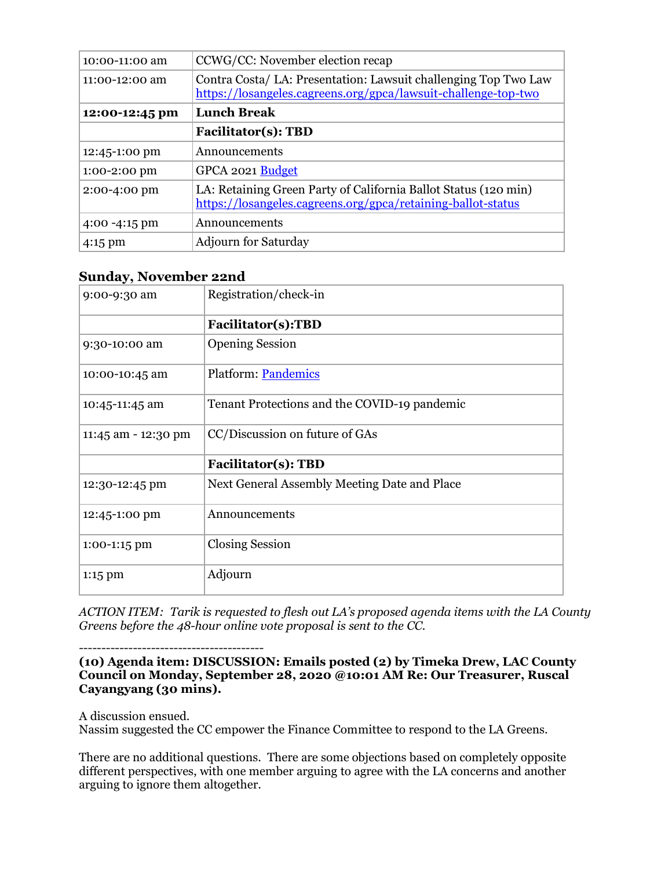| 10:00-11:00 am           | CCWG/CC: November election recap                                                                                                  |
|--------------------------|-----------------------------------------------------------------------------------------------------------------------------------|
| 11:00-12:00 am           | Contra Costa/ LA: Presentation: Lawsuit challenging Top Two Law<br>https://losangeles.cagreens.org/gpca/lawsuit-challenge-top-two |
| 12:00-12:45 pm           | <b>Lunch Break</b>                                                                                                                |
|                          | <b>Facilitator(s): TBD</b>                                                                                                        |
| 12:45-1:00 pm            | Announcements                                                                                                                     |
| $1:00-2:00$ pm           | GPCA 2021 Budget                                                                                                                  |
| 2:00-4:00 pm             | LA: Retaining Green Party of California Ballot Status (120 min)<br>https://losangeles.cagreens.org/gpca/retaining-ballot-status   |
| $4:00 - 4:15 \text{ pm}$ | Announcements                                                                                                                     |
| $4:15 \text{ pm}$        | <b>Adjourn for Saturday</b>                                                                                                       |

# **Sunday, November 22nd**

| -- <i>---</i> .,,,  |                                              |
|---------------------|----------------------------------------------|
| 9:00-9:30 am        | Registration/check-in                        |
|                     | Facilitator(s):TBD                           |
| 9:30-10:00 am       | <b>Opening Session</b>                       |
| 10:00-10:45 am      | Platform: Pandemics                          |
| 10:45-11:45 am      | Tenant Protections and the COVID-19 pandemic |
| 11:45 am - 12:30 pm | CC/Discussion on future of GAs               |
|                     | <b>Facilitator(s): TBD</b>                   |
| 12:30-12:45 pm      | Next General Assembly Meeting Date and Place |
| 12:45-1:00 pm       | Announcements                                |
| 1:00-1:15 pm        | <b>Closing Session</b>                       |
| 1:15 pm             | Adjourn                                      |

*ACTION ITEM: Tarik is requested to flesh out LA's proposed agenda items with the LA County Greens before the 48-hour online vote proposal is sent to the CC.*

-----------------------------------------

#### **(10) Agenda item: DISCUSSION: Emails posted (2) by Timeka Drew, LAC County Council on Monday, September 28, 2020 @10:01 AM Re: Our Treasurer, Ruscal Cayangyang (30 mins).**

A discussion ensued.

Nassim suggested the CC empower the Finance Committee to respond to the LA Greens.

There are no additional questions. There are some objections based on completely opposite different perspectives, with one member arguing to agree with the LA concerns and another arguing to ignore them altogether.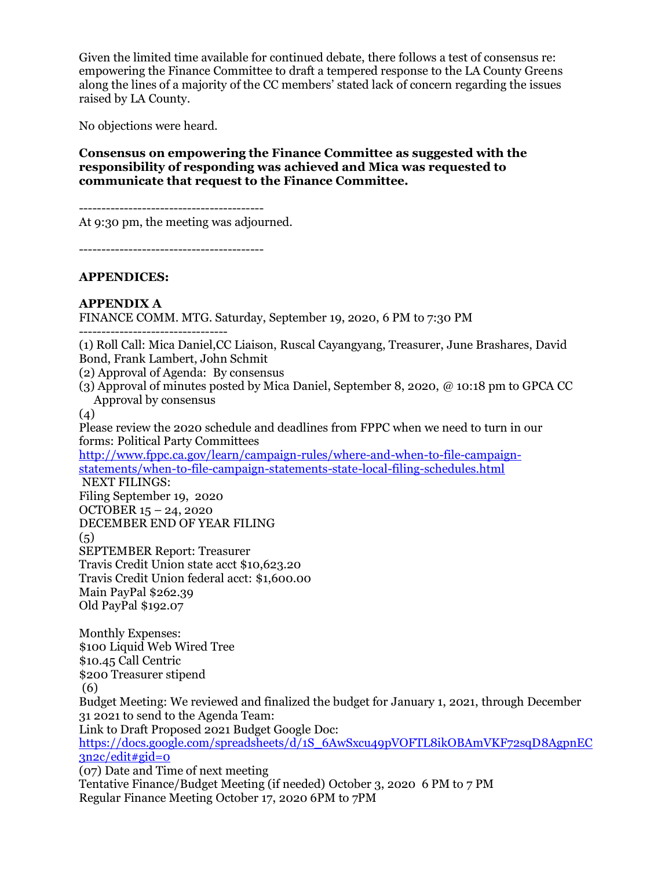Given the limited time available for continued debate, there follows a test of consensus re: empowering the Finance Committee to draft a tempered response to the LA County Greens along the lines of a majority of the CC members' stated lack of concern regarding the issues raised by LA County.

No objections were heard.

## **Consensus on empowering the Finance Committee as suggested with the responsibility of responding was achieved and Mica was requested to communicate that request to the Finance Committee.**

-----------------------------------------

At 9:30 pm, the meeting was adjourned.

-----------------------------------------

#### **APPENDICES:**

# **APPENDIX A**

FINANCE COMM. MTG. Saturday, September 19, 2020, 6 PM to 7:30 PM

---------------------------------

(1) Roll Call: Mica Daniel,CC Liaison, Ruscal Cayangyang, Treasurer, June Brashares, David Bond, Frank Lambert, John Schmit

(2) Approval of Agenda: By consensus

(3) Approval of minutes posted by Mica Daniel, September 8, 2020, @ 10:18 pm to GPCA CC Approval by consensus

(4)

Please review the 2020 schedule and deadlines from FPPC when we need to turn in our forms: Political Party Committees

[http://www.fppc.ca.gov/learn/campaign-rules/where-and-when-to-file-campaign](http://www.fppc.ca.gov/learn/campaign-rules/where-and-when-to-file-campaign-statements/when-to-file-campaign-statements-state-local-filing-schedules.html)[statements/when-to-file-campaign-statements-state-local-filing-schedules.html](http://www.fppc.ca.gov/learn/campaign-rules/where-and-when-to-file-campaign-statements/when-to-file-campaign-statements-state-local-filing-schedules.html) 

NEXT FILINGS:

Filing September 19, 2020 OCTOBER 15 – 24, 2020 DECEMBER END OF YEAR FILING  $(5)$ SEPTEMBER Report: Treasurer Travis Credit Union state acct \$10,623.20 Travis Credit Union federal acct: \$1,600.00 Main PayPal \$262.39 Old PayPal \$192.07

Monthly Expenses: \$100 Liquid Web Wired Tree \$10.45 Call Centric \$200 Treasurer stipend (6) Budget Meeting: We reviewed and finalized the budget for January 1, 2021, through December 31 2021 to send to the Agenda Team: Link to Draft Proposed 2021 Budget Google Doc: [https://docs.google.com/spreadsheets/d/1S\\_6AwSxcu49pVOFTL8ikOBAmVKF72sqD8AgpnEC](https://docs.google.com/spreadsheets/d/1S_6AwSxcu49pVOFTL8ikOBAmVKF72sqD8AgpnEC3n2c/edit#gid=0)  $3n2c/edit#gid=0$ (07) Date and Time of next meeting Tentative Finance/Budget Meeting (if needed) October 3, 2020 6 PM to 7 PM

Regular Finance Meeting October 17, 2020 6PM to 7PM